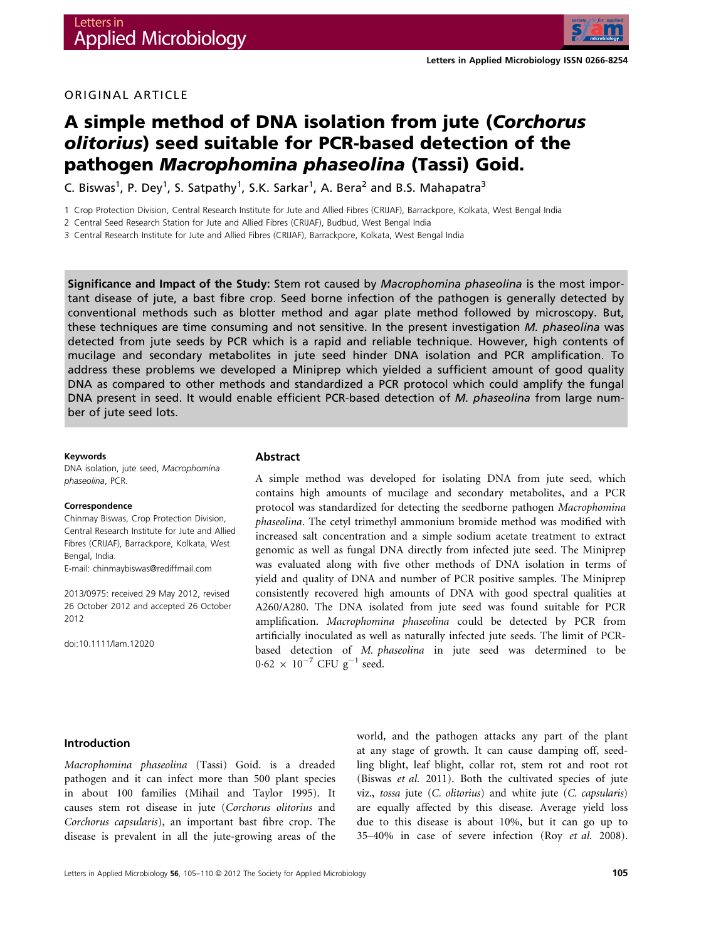

## ORIGINAL ARTICLE

# A simple method of DNA isolation from jute (Corchorus olitorius) seed suitable for PCR-based detection of the pathogen Macrophomina phaseolina (Tassi) Goid.

C. Biswas<sup>1</sup>, P. Dey<sup>1</sup>, S. Satpathy<sup>1</sup>, S.K. Sarkar<sup>1</sup>, A. Bera<sup>2</sup> and B.S. Mahapatra<sup>3</sup>

1 Crop Protection Division, Central Research Institute for Jute and Allied Fibres (CRIJAF), Barrackpore, Kolkata, West Bengal India

2 Central Seed Research Station for Jute and Allied Fibres (CRIJAF), Budbud, West Bengal India

3 Central Research Institute for Jute and Allied Fibres (CRIJAF), Barrackpore, Kolkata, West Bengal India

Significance and Impact of the Study: Stem rot caused by Macrophomina phaseolina is the most important disease of jute, a bast fibre crop. Seed borne infection of the pathogen is generally detected by conventional methods such as blotter method and agar plate method followed by microscopy. But, these techniques are time consuming and not sensitive. In the present investigation M. phaseolina was detected from jute seeds by PCR which is a rapid and reliable technique. However, high contents of mucilage and secondary metabolites in jute seed hinder DNA isolation and PCR amplification. To address these problems we developed a Miniprep which yielded a sufficient amount of good quality DNA as compared to other methods and standardized a PCR protocol which could amplify the fungal DNA present in seed. It would enable efficient PCR-based detection of M. phaseolina from large number of jute seed lots.

#### Keywords

DNA isolation, jute seed, Macrophomina phaseolina, PCR.

#### Correspondence

Chinmay Biswas, Crop Protection Division, Central Research Institute for Jute and Allied Fibres (CRIJAF), Barrackpore, Kolkata, West Bengal, India.

E-mail: chinmaybiswas@rediffmail.com

2013/0975: received 29 May 2012, revised 26 October 2012 and accepted 26 October 2012

doi:10.1111/lam.12020

#### Abstract

A simple method was developed for isolating DNA from jute seed, which contains high amounts of mucilage and secondary metabolites, and a PCR protocol was standardized for detecting the seedborne pathogen Macrophomina phaseolina. The cetyl trimethyl ammonium bromide method was modified with increased salt concentration and a simple sodium acetate treatment to extract genomic as well as fungal DNA directly from infected jute seed. The Miniprep was evaluated along with five other methods of DNA isolation in terms of yield and quality of DNA and number of PCR positive samples. The Miniprep consistently recovered high amounts of DNA with good spectral qualities at A260/A280. The DNA isolated from jute seed was found suitable for PCR amplification. Macrophomina phaseolina could be detected by PCR from artificially inoculated as well as naturally infected jute seeds. The limit of PCRbased detection of M. phaseolina in jute seed was determined to be  $0.62 \times 10^{-7}$  CFU g<sup>-1</sup> seed.

#### Introduction

Macrophomina phaseolina (Tassi) Goid. is a dreaded pathogen and it can infect more than 500 plant species in about 100 families (Mihail and Taylor 1995). It causes stem rot disease in jute (Corchorus olitorius and Corchorus capsularis), an important bast fibre crop. The disease is prevalent in all the jute-growing areas of the world, and the pathogen attacks any part of the plant at any stage of growth. It can cause damping off, seedling blight, leaf blight, collar rot, stem rot and root rot (Biswas et al. 2011). Both the cultivated species of jute viz., tossa jute (C. olitorius) and white jute (C. capsularis) are equally affected by this disease. Average yield loss due to this disease is about 10%, but it can go up to 35–40% in case of severe infection (Roy et al. 2008).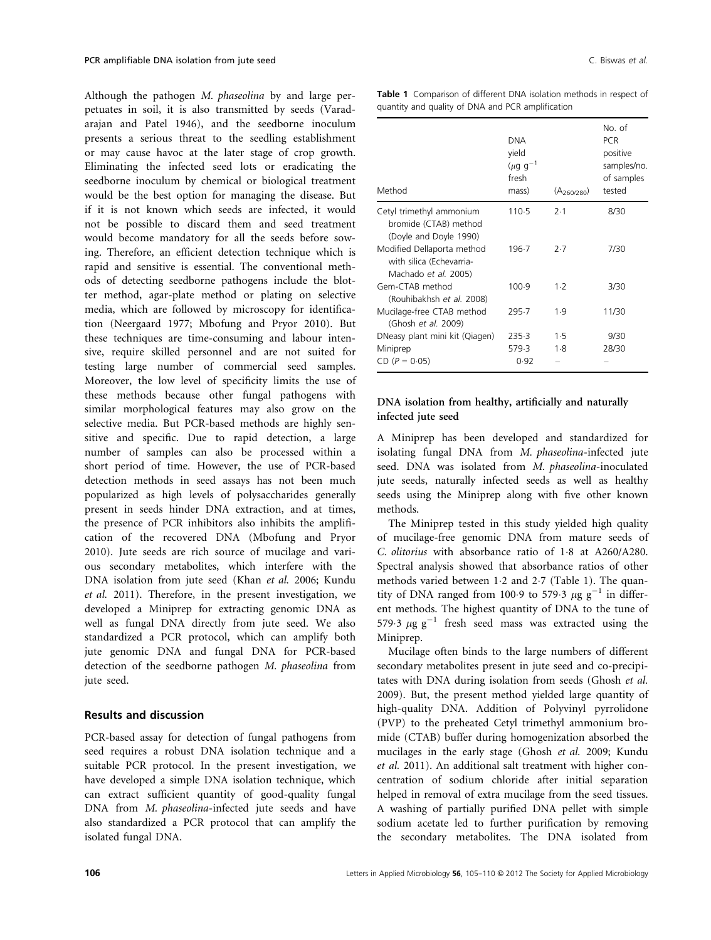Although the pathogen M. phaseolina by and large perpetuates in soil, it is also transmitted by seeds (Varadarajan and Patel 1946), and the seedborne inoculum presents a serious threat to the seedling establishment or may cause havoc at the later stage of crop growth. Eliminating the infected seed lots or eradicating the seedborne inoculum by chemical or biological treatment would be the best option for managing the disease. But if it is not known which seeds are infected, it would not be possible to discard them and seed treatment would become mandatory for all the seeds before sowing. Therefore, an efficient detection technique which is rapid and sensitive is essential. The conventional methods of detecting seedborne pathogens include the blotter method, agar-plate method or plating on selective media, which are followed by microscopy for identification (Neergaard 1977; Mbofung and Pryor 2010). But these techniques are time-consuming and labour intensive, require skilled personnel and are not suited for testing large number of commercial seed samples. Moreover, the low level of specificity limits the use of these methods because other fungal pathogens with similar morphological features may also grow on the selective media. But PCR-based methods are highly sensitive and specific. Due to rapid detection, a large number of samples can also be processed within a short period of time. However, the use of PCR-based detection methods in seed assays has not been much popularized as high levels of polysaccharides generally present in seeds hinder DNA extraction, and at times, the presence of PCR inhibitors also inhibits the amplification of the recovered DNA (Mbofung and Pryor 2010). Jute seeds are rich source of mucilage and various secondary metabolites, which interfere with the DNA isolation from jute seed (Khan et al. 2006; Kundu et al. 2011). Therefore, in the present investigation, we developed a Miniprep for extracting genomic DNA as well as fungal DNA directly from jute seed. We also standardized a PCR protocol, which can amplify both jute genomic DNA and fungal DNA for PCR-based detection of the seedborne pathogen M. phaseolina from jute seed.

## Results and discussion

PCR-based assay for detection of fungal pathogens from seed requires a robust DNA isolation technique and a suitable PCR protocol. In the present investigation, we have developed a simple DNA isolation technique, which can extract sufficient quantity of good-quality fungal DNA from M. phaseolina-infected jute seeds and have also standardized a PCR protocol that can amplify the isolated fungal DNA.

Table 1 Comparison of different DNA isolation methods in respect of quantity and quality of DNA and PCR amplification

| Method                                                                         | <b>DNA</b><br>yield<br>$(\mu q q^{-1})$<br>fresh<br>mass) | (A <sub>260/280</sub> ) | No. of<br><b>PCR</b><br>positive<br>samples/no.<br>of samples<br>tested |
|--------------------------------------------------------------------------------|-----------------------------------------------------------|-------------------------|-------------------------------------------------------------------------|
| Cetyl trimethyl ammonium<br>bromide (CTAB) method<br>(Doyle and Doyle 1990)    | 110.5                                                     | 2.1                     | 8/30                                                                    |
| Modified Dellaporta method<br>with silica (Echevarria-<br>Machado et al. 2005) | 196.7                                                     | 2.7                     | 7/30                                                                    |
| Gem-CTAB method<br>(Rouhibakhsh et al. 2008)                                   | 100.9                                                     | $1-2$                   | 3/30                                                                    |
| Mucilage-free CTAB method<br>(Ghosh et al. 2009)                               | 295.7                                                     | 1.9                     | 11/30                                                                   |
| DNeasy plant mini kit (Qiagen)                                                 | 235.3                                                     | 1.5                     | 9/30                                                                    |
| Miniprep                                                                       | 579.3                                                     | 1.8                     | 28/30                                                                   |
| $CD (P = 0.05)$                                                                | 0.92                                                      |                         |                                                                         |

## DNA isolation from healthy, artificially and naturally infected jute seed

A Miniprep has been developed and standardized for isolating fungal DNA from M. phaseolina-infected jute seed. DNA was isolated from M. phaseolina-inoculated jute seeds, naturally infected seeds as well as healthy seeds using the Miniprep along with five other known methods.

The Miniprep tested in this study yielded high quality of mucilage-free genomic DNA from mature seeds of C. *olitorius* with absorbance ratio of 1.8 at A260/A280. Spectral analysis showed that absorbance ratios of other methods varied between 1.2 and 2.7 (Table 1). The quantity of DNA ranged from 100.9 to 579.3  $\mu$ g g<sup>-1</sup> in different methods. The highest quantity of DNA to the tune of 579.3  $\mu$ g g<sup>-1</sup> fresh seed mass was extracted using the Miniprep.

Mucilage often binds to the large numbers of different secondary metabolites present in jute seed and co-precipitates with DNA during isolation from seeds (Ghosh et al. 2009). But, the present method yielded large quantity of high-quality DNA. Addition of Polyvinyl pyrrolidone (PVP) to the preheated Cetyl trimethyl ammonium bromide (CTAB) buffer during homogenization absorbed the mucilages in the early stage (Ghosh et al. 2009; Kundu et al. 2011). An additional salt treatment with higher concentration of sodium chloride after initial separation helped in removal of extra mucilage from the seed tissues. A washing of partially purified DNA pellet with simple sodium acetate led to further purification by removing the secondary metabolites. The DNA isolated from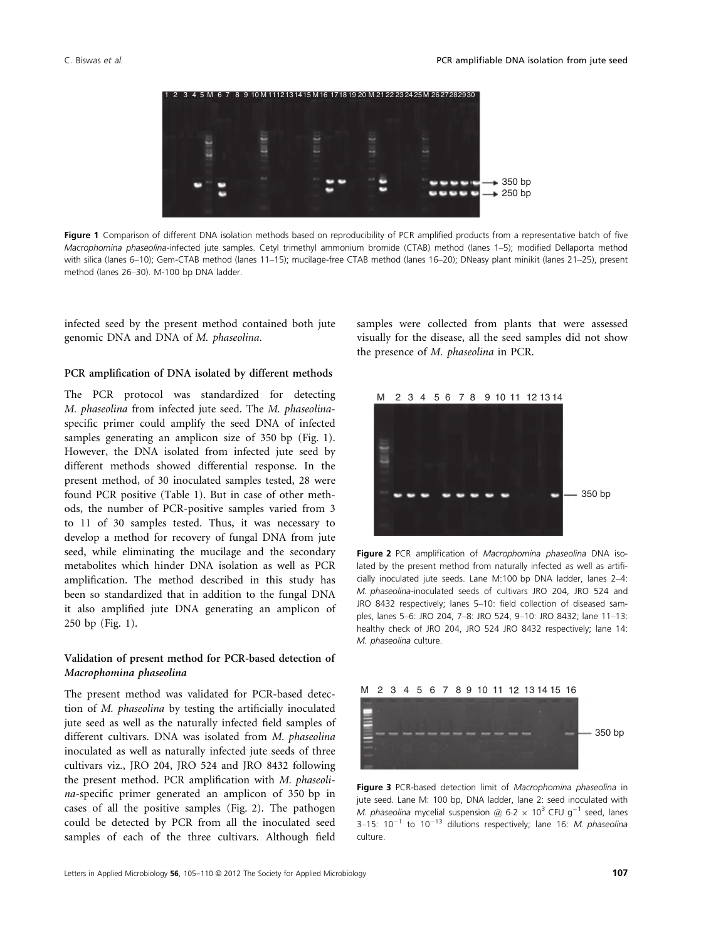

Figure 1 Comparison of different DNA isolation methods based on reproducibility of PCR amplified products from a representative batch of five Macrophomina phaseolina-infected jute samples. Cetyl trimethyl ammonium bromide (CTAB) method (lanes 1–5); modified Dellaporta method with silica (lanes 6–10); Gem-CTAB method (lanes 11–15); mucilage-free CTAB method (lanes 16–20); DNeasy plant minikit (lanes 21–25), present method (lanes 26–30). M-100 bp DNA ladder.

infected seed by the present method contained both jute genomic DNA and DNA of M. phaseolina.

## PCR amplification of DNA isolated by different methods

The PCR protocol was standardized for detecting M. phaseolina from infected jute seed. The M. phaseolinaspecific primer could amplify the seed DNA of infected samples generating an amplicon size of 350 bp (Fig. 1). However, the DNA isolated from infected jute seed by different methods showed differential response. In the present method, of 30 inoculated samples tested, 28 were found PCR positive (Table 1). But in case of other methods, the number of PCR-positive samples varied from 3 to 11 of 30 samples tested. Thus, it was necessary to develop a method for recovery of fungal DNA from jute seed, while eliminating the mucilage and the secondary metabolites which hinder DNA isolation as well as PCR amplification. The method described in this study has been so standardized that in addition to the fungal DNA it also amplified jute DNA generating an amplicon of 250 bp (Fig. 1).

## Validation of present method for PCR-based detection of Macrophomina phaseolina

The present method was validated for PCR-based detection of M. phaseolina by testing the artificially inoculated jute seed as well as the naturally infected field samples of different cultivars. DNA was isolated from M. phaseolina inoculated as well as naturally infected jute seeds of three cultivars viz., JRO 204, JRO 524 and JRO 8432 following the present method. PCR amplification with M. phaseolina-specific primer generated an amplicon of 350 bp in cases of all the positive samples (Fig. 2). The pathogen could be detected by PCR from all the inoculated seed samples of each of the three cultivars. Although field samples were collected from plants that were assessed visually for the disease, all the seed samples did not show the presence of M. phaseolina in PCR.



Figure 2 PCR amplification of Macrophomina phaseolina DNA isolated by the present method from naturally infected as well as artificially inoculated jute seeds. Lane M:100 bp DNA ladder, lanes 2–4: M. phaseolina-inoculated seeds of cultivars JRO 204, JRO 524 and JRO 8432 respectively; lanes 5–10: field collection of diseased samples, lanes 5–6: JRO 204, 7–8: JRO 524, 9–10: JRO 8432; lane 11–13: healthy check of JRO 204, JRO 524 JRO 8432 respectively; lane 14: M. phaseolina culture.



Figure 3 PCR-based detection limit of Macrophomina phaseolina in jute seed. Lane M: 100 bp, DNA ladder, lane 2: seed inoculated with M. phaseolina mycelial suspension @ 6.2  $\times$  10<sup>3</sup> CFU g<sup>-1</sup> seed, lanes 3-15:  $10^{-1}$  to  $10^{-13}$  dilutions respectively; lane 16: M. phaseolina culture.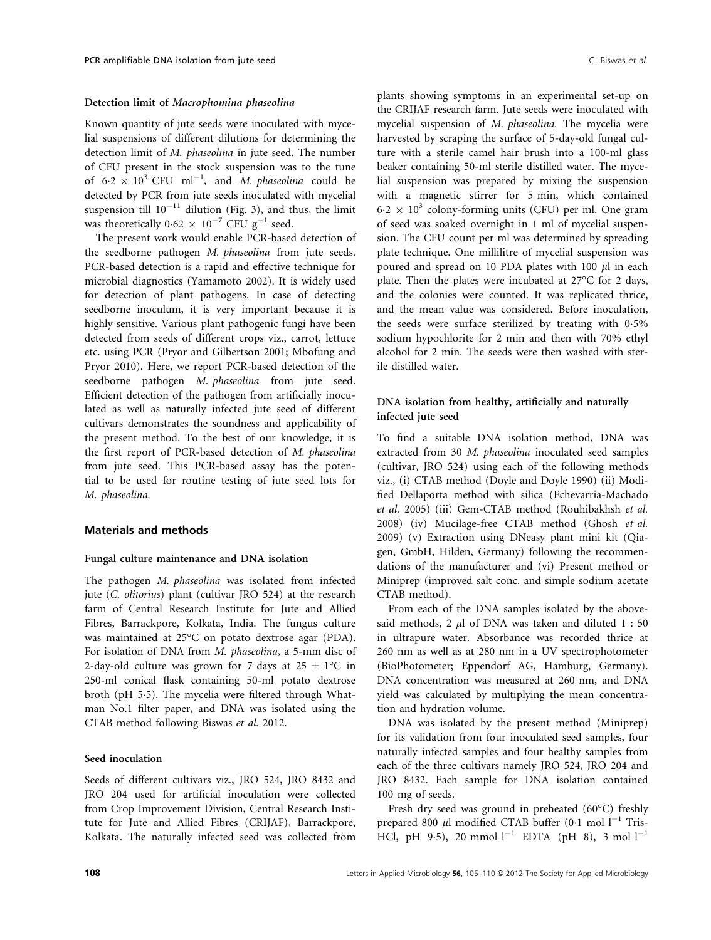#### Detection limit of Macrophomina phaseolina

Known quantity of jute seeds were inoculated with mycelial suspensions of different dilutions for determining the detection limit of M. phaseolina in jute seed. The number of CFU present in the stock suspension was to the tune of  $6.2 \times 10^3$  CFU ml<sup>-1</sup>, and *M. phaseolina* could be detected by PCR from jute seeds inoculated with mycelial suspension till  $10^{-11}$  dilution (Fig. 3), and thus, the limit was theoretically  $0.62 \times 10^{-7}$  CFU g<sup>-1</sup> seed.

The present work would enable PCR-based detection of the seedborne pathogen M. phaseolina from jute seeds. PCR-based detection is a rapid and effective technique for microbial diagnostics (Yamamoto 2002). It is widely used for detection of plant pathogens. In case of detecting seedborne inoculum, it is very important because it is highly sensitive. Various plant pathogenic fungi have been detected from seeds of different crops viz., carrot, lettuce etc. using PCR (Pryor and Gilbertson 2001; Mbofung and Pryor 2010). Here, we report PCR-based detection of the seedborne pathogen M. phaseolina from jute seed. Efficient detection of the pathogen from artificially inoculated as well as naturally infected jute seed of different cultivars demonstrates the soundness and applicability of the present method. To the best of our knowledge, it is the first report of PCR-based detection of M. phaseolina from jute seed. This PCR-based assay has the potential to be used for routine testing of jute seed lots for M. phaseolina.

## Materials and methods

## Fungal culture maintenance and DNA isolation

The pathogen M. phaseolina was isolated from infected jute (*C. olitorius*) plant (cultivar JRO 524) at the research farm of Central Research Institute for Jute and Allied Fibres, Barrackpore, Kolkata, India. The fungus culture was maintained at 25°C on potato dextrose agar (PDA). For isolation of DNA from M. phaseolina, a 5-mm disc of 2-day-old culture was grown for 7 days at  $25 \pm 1$ °C in 250-ml conical flask containing 50-ml potato dextrose broth (pH 5.5). The mycelia were filtered through Whatman No.1 filter paper, and DNA was isolated using the CTAB method following Biswas et al. 2012.

## Seed inoculation

Seeds of different cultivars viz., JRO 524, JRO 8432 and JRO 204 used for artificial inoculation were collected from Crop Improvement Division, Central Research Institute for Jute and Allied Fibres (CRIJAF), Barrackpore, Kolkata. The naturally infected seed was collected from

plants showing symptoms in an experimental set-up on the CRIJAF research farm. Jute seeds were inoculated with mycelial suspension of M. phaseolina. The mycelia were harvested by scraping the surface of 5-day-old fungal culture with a sterile camel hair brush into a 100-ml glass beaker containing 50-ml sterile distilled water. The mycelial suspension was prepared by mixing the suspension with a magnetic stirrer for 5 min, which contained  $6.2 \times 10^3$  colony-forming units (CFU) per ml. One gram of seed was soaked overnight in 1 ml of mycelial suspension. The CFU count per ml was determined by spreading plate technique. One millilitre of mycelial suspension was poured and spread on 10 PDA plates with 100  $\mu$ l in each plate. Then the plates were incubated at 27°C for 2 days, and the colonies were counted. It was replicated thrice, and the mean value was considered. Before inoculation, the seeds were surface sterilized by treating with 05% sodium hypochlorite for 2 min and then with 70% ethyl alcohol for 2 min. The seeds were then washed with sterile distilled water.

## DNA isolation from healthy, artificially and naturally infected jute seed

To find a suitable DNA isolation method, DNA was extracted from 30 M. phaseolina inoculated seed samples (cultivar, JRO 524) using each of the following methods viz., (i) CTAB method (Doyle and Doyle 1990) (ii) Modified Dellaporta method with silica (Echevarria-Machado et al. 2005) (iii) Gem-CTAB method (Rouhibakhsh et al. 2008) (iv) Mucilage-free CTAB method (Ghosh et al. 2009) (v) Extraction using DNeasy plant mini kit (Qiagen, GmbH, Hilden, Germany) following the recommendations of the manufacturer and (vi) Present method or Miniprep (improved salt conc. and simple sodium acetate CTAB method).

From each of the DNA samples isolated by the abovesaid methods, 2  $\mu$ l of DNA was taken and diluted 1 : 50 in ultrapure water. Absorbance was recorded thrice at 260 nm as well as at 280 nm in a UV spectrophotometer (BioPhotometer; Eppendorf AG, Hamburg, Germany). DNA concentration was measured at 260 nm, and DNA yield was calculated by multiplying the mean concentration and hydration volume.

DNA was isolated by the present method (Miniprep) for its validation from four inoculated seed samples, four naturally infected samples and four healthy samples from each of the three cultivars namely JRO 524, JRO 204 and JRO 8432. Each sample for DNA isolation contained 100 mg of seeds.

Fresh dry seed was ground in preheated (60°C) freshly prepared 800  $\mu$ l modified CTAB buffer (0.1 mol  $l^{-1}$  Tris-HCl, pH 9.5), 20 mmol  $l^{-1}$  EDTA (pH 8), 3 mol  $l^{-1}$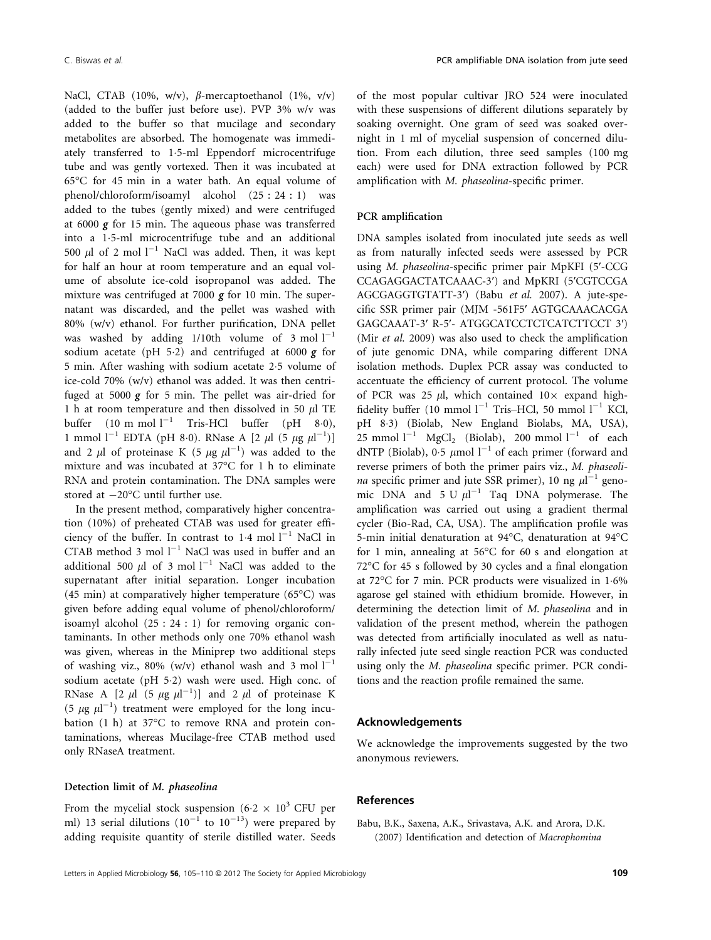NaCl, CTAB (10%, w/v),  $\beta$ -mercaptoethanol (1%, v/v) (added to the buffer just before use). PVP 3% w/v was added to the buffer so that mucilage and secondary metabolites are absorbed. The homogenate was immediately transferred to 1.5-ml Eppendorf microcentrifuge tube and was gently vortexed. Then it was incubated at 65°C for 45 min in a water bath. An equal volume of phenol/chloroform/isoamyl alcohol (25 : 24 : 1) was added to the tubes (gently mixed) and were centrifuged at 6000 g for 15 min. The aqueous phase was transferred into a 15-ml microcentrifuge tube and an additional 500  $\mu$ l of 2 mol l<sup>-1</sup> NaCl was added. Then, it was kept for half an hour at room temperature and an equal volume of absolute ice-cold isopropanol was added. The mixture was centrifuged at 7000  $g$  for 10 min. The supernatant was discarded, and the pellet was washed with 80% (w/v) ethanol. For further purification, DNA pellet was washed by adding  $1/10$ th volume of 3 mol  $1^{-1}$ sodium acetate (pH 5.2) and centrifuged at 6000  $g$  for 5 min. After washing with sodium acetate 25 volume of ice-cold 70% (w/v) ethanol was added. It was then centrifuged at 5000  $g$  for 5 min. The pellet was air-dried for 1 h at room temperature and then dissolved in 50  $\mu$ l TE buffer  $(10 \text{ m mol } l^{-1}$  Tris-HCl buffer  $(pH 80)$ , 1 mmol  $l^{-1}$  EDTA (pH 8.0). RNase A [2  $\mu$ l (5  $\mu$ g  $\mu$ l<sup>-1</sup>)] and 2  $\mu$ l of proteinase K (5  $\mu$ g  $\mu$ l<sup>-1</sup>) was added to the mixture and was incubated at 37°C for 1 h to eliminate RNA and protein contamination. The DNA samples were stored at  $-20^{\circ}$ C until further use.

In the present method, comparatively higher concentration (10%) of preheated CTAB was used for greater efficiency of the buffer. In contrast to  $1.4$  mol  $1^{-1}$  NaCl in  $CTAB$  method 3 mol  $l^{-1}$  NaCl was used in buffer and an additional 500  $\mu$ l of 3 mol  $l^{-1}$  NaCl was added to the supernatant after initial separation. Longer incubation (45 min) at comparatively higher temperature ( $65^{\circ}$ C) was given before adding equal volume of phenol/chloroform/ isoamyl alcohol (25 : 24 : 1) for removing organic contaminants. In other methods only one 70% ethanol wash was given, whereas in the Miniprep two additional steps of washing viz., 80% (w/v) ethanol wash and 3 mol  $l^{-1}$ sodium acetate (pH 5.2) wash were used. High conc. of RNase A [2  $\mu$ l (5  $\mu$ g  $\mu$ l<sup>-1</sup>)] and 2  $\mu$ l of proteinase K (5  $\mu$ g  $\mu$ l<sup>-1</sup>) treatment were employed for the long incubation (1 h) at 37°C to remove RNA and protein contaminations, whereas Mucilage-free CTAB method used only RNaseA treatment.

## Detection limit of M. phaseolina

From the mycelial stock suspension (6.2  $\times$  10<sup>3</sup> CFU per ml) 13 serial dilutions  $(10^{-1}$  to  $10^{-13})$  were prepared by adding requisite quantity of sterile distilled water. Seeds

of the most popular cultivar JRO 524 were inoculated with these suspensions of different dilutions separately by soaking overnight. One gram of seed was soaked overnight in 1 ml of mycelial suspension of concerned dilution. From each dilution, three seed samples (100 mg each) were used for DNA extraction followed by PCR amplification with M. phaseolina-specific primer.

### PCR amplification

DNA samples isolated from inoculated jute seeds as well as from naturally infected seeds were assessed by PCR using M. phaseolina-specific primer pair MpKFI (5′-CCG CCAGAGGACTATCAAAC-3′) and MpKRI (5′CGTCCGA AGCGAGGTGTATT-3′) (Babu et al. 2007). A jute-specific SSR primer pair (MJM -561F5′ AGTGCAAACACGA GAGCAAAT-3′ R-5′- ATGGCATCCTCTCATCTTCCT 3′) (Mir et al. 2009) was also used to check the amplification of jute genomic DNA, while comparing different DNA isolation methods. Duplex PCR assay was conducted to accentuate the efficiency of current protocol. The volume of PCR was 25  $\mu$ l, which contained  $10\times$  expand highfidelity buffer (10 mmol  $l^{-1}$  Tris–HCl, 50 mmol  $l^{-1}$  KCl, pH 83) (Biolab, New England Biolabs, MA, USA), 25 mmol  $l^{-1}$  MgCl<sub>2</sub> (Biolab), 200 mmol  $l^{-1}$  of each dNTP (Biolab), 0.5  $\mu$ mol l<sup>-1</sup> of each primer (forward and reverse primers of both the primer pairs viz., M. phaseolina specific primer and jute SSR primer), 10 ng  $\mu$ l<sup>-1</sup> genomic DNA and  $5 \text{ U } \mu l^{-1}$  Taq DNA polymerase. The amplification was carried out using a gradient thermal cycler (Bio-Rad, CA, USA). The amplification profile was 5-min initial denaturation at 94°C, denaturation at 94°C for 1 min, annealing at 56°C for 60 s and elongation at 72°C for 45 s followed by 30 cycles and a final elongation at 72°C for 7 min. PCR products were visualized in 16% agarose gel stained with ethidium bromide. However, in determining the detection limit of M. phaseolina and in validation of the present method, wherein the pathogen was detected from artificially inoculated as well as naturally infected jute seed single reaction PCR was conducted using only the M. phaseolina specific primer. PCR conditions and the reaction profile remained the same.

#### Acknowledgements

We acknowledge the improvements suggested by the two anonymous reviewers.

## References

Babu, B.K., Saxena, A.K., Srivastava, A.K. and Arora, D.K. (2007) Identification and detection of Macrophomina